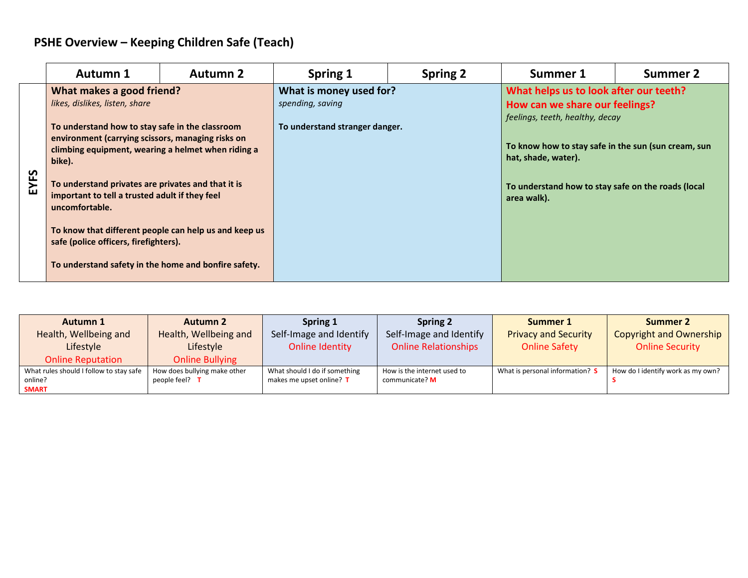## **PSHE Overview – Keeping Children Safe (Teach)**

|           | <b>Autumn 1</b>                                                                                                                                                                                                                                                                                                                                                                                                                                                                                                         | <b>Autumn 2</b> | <b>Spring 1</b>                                                               | <b>Spring 2</b> | Summer 1                                                                                                                                                                                                                                                       | Summer 2 |
|-----------|-------------------------------------------------------------------------------------------------------------------------------------------------------------------------------------------------------------------------------------------------------------------------------------------------------------------------------------------------------------------------------------------------------------------------------------------------------------------------------------------------------------------------|-----------------|-------------------------------------------------------------------------------|-----------------|----------------------------------------------------------------------------------------------------------------------------------------------------------------------------------------------------------------------------------------------------------------|----------|
| ທ<br>EYF. | What makes a good friend?<br>likes, dislikes, listen, share<br>To understand how to stay safe in the classroom<br>environment (carrying scissors, managing risks on<br>climbing equipment, wearing a helmet when riding a<br>bike).<br>To understand privates are privates and that it is<br>important to tell a trusted adult if they feel<br>uncomfortable.<br>To know that different people can help us and keep us<br>safe (police officers, firefighters).<br>To understand safety in the home and bonfire safety. |                 | What is money used for?<br>spending, saving<br>To understand stranger danger. |                 | What helps us to look after our teeth?<br>How can we share our feelings?<br>feelings, teeth, healthy, decay<br>To know how to stay safe in the sun (sun cream, sun<br>hat, shade, water).<br>To understand how to stay safe on the roads (local<br>area walk). |          |

| Autumn 1                                | <b>Autumn 2</b>              | Spring 1                      | <b>Spring 2</b>             | Summer 1                        | <b>Summer 2</b>                   |
|-----------------------------------------|------------------------------|-------------------------------|-----------------------------|---------------------------------|-----------------------------------|
| Health, Wellbeing and                   | Health, Wellbeing and        | Self-Image and Identify       | Self-Image and Identify     | <b>Privacy and Security</b>     | <b>Copyright and Ownership</b>    |
| Lifestyle                               | Lifestyle                    | Online Identity               | <b>Online Relationships</b> | <b>Online Safety</b>            | <b>Online Security</b>            |
| <b>Online Reputation</b>                | <b>Online Bullying</b>       |                               |                             |                                 |                                   |
| What rules should I follow to stay safe | How does bullying make other | What should I do if something | How is the internet used to | What is personal information? S | How do I identify work as my own? |
| online?                                 | people feel? $T$             | makes me upset online? T      | communicate? M              |                                 |                                   |
| <b>SMART</b>                            |                              |                               |                             |                                 |                                   |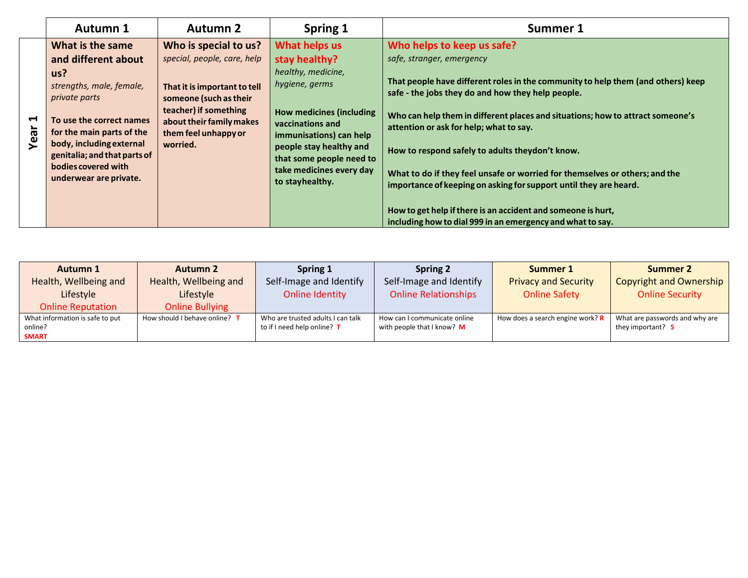|                               | Autumn 1                                                                                                                                                                                                                                                          | <b>Autumn 2</b>                                                                                                                                                                                         | Spring 1                                                                                                                                                                                                                                                       | Summer 1                                                                                                                                                                                                                                                                                                                                                                                                                                                                                                                                                                                                                                                           |
|-------------------------------|-------------------------------------------------------------------------------------------------------------------------------------------------------------------------------------------------------------------------------------------------------------------|---------------------------------------------------------------------------------------------------------------------------------------------------------------------------------------------------------|----------------------------------------------------------------------------------------------------------------------------------------------------------------------------------------------------------------------------------------------------------------|--------------------------------------------------------------------------------------------------------------------------------------------------------------------------------------------------------------------------------------------------------------------------------------------------------------------------------------------------------------------------------------------------------------------------------------------------------------------------------------------------------------------------------------------------------------------------------------------------------------------------------------------------------------------|
| $\blacktriangleright$<br>Year | What is the same<br>and different about<br>us?<br>strengths, male, female,<br>private parts<br>To use the correct names<br>for the main parts of the<br>body, including external<br>genitalia; and that parts of<br>bodies covered with<br>underwear are private. | Who is special to us?<br>special, people, care, help<br>That it is important to tell<br>someone (such as their<br>teacher) if something<br>about their family makes<br>them feel unhappy or<br>worried. | What helps us<br>stay healthy?<br>healthy, medicine,<br>hygiene, germs<br><b>How medicines (including</b><br>vaccinations and<br>immunisations) can help<br>people stay healthy and<br>that some people need to<br>take medicines every day<br>to stayhealthy. | Who helps to keep us safe?<br>safe, stranger, emergency<br>That people have different roles in the community to help them (and others) keep<br>safe - the jobs they do and how they help people.<br>Who can help them in different places and situations; how to attract someone's<br>attention or ask for help; what to say.<br>How to respond safely to adults theydon't know.<br>What to do if they feel unsafe or worried for themselves or others; and the<br>importance of keeping on asking for support until they are heard.<br>How to get help if there is an accident and someone is hurt,<br>including how to dial 999 in an emergency and what to say. |

| Autumn 1                                                   | <b>Autumn 2</b>               | Spring 1                                                         | <b>Spring 2</b>                                            | Summer 1                         | Summer 2                                            |
|------------------------------------------------------------|-------------------------------|------------------------------------------------------------------|------------------------------------------------------------|----------------------------------|-----------------------------------------------------|
| Health, Wellbeing and                                      | Health, Wellbeing and         | Self-Image and Identify                                          | Self-Image and Identify                                    | <b>Privacy and Security</b>      | Copyright and Ownership                             |
| Lifestyle                                                  | Lifestyle                     | Online Identity                                                  | <b>Online Relationships</b>                                | <b>Online Safety</b>             | <b>Online Security</b>                              |
| <b>Online Reputation</b>                                   | <b>Online Bullying</b>        |                                                                  |                                                            |                                  |                                                     |
| What information is safe to put<br>online?<br><b>SMART</b> | How should I behave online? T | Who are trusted adults I can talk<br>to if I need help online? T | How can I communicate online<br>with people that I know? M | How does a search engine work? R | What are passwords and why are<br>they important? S |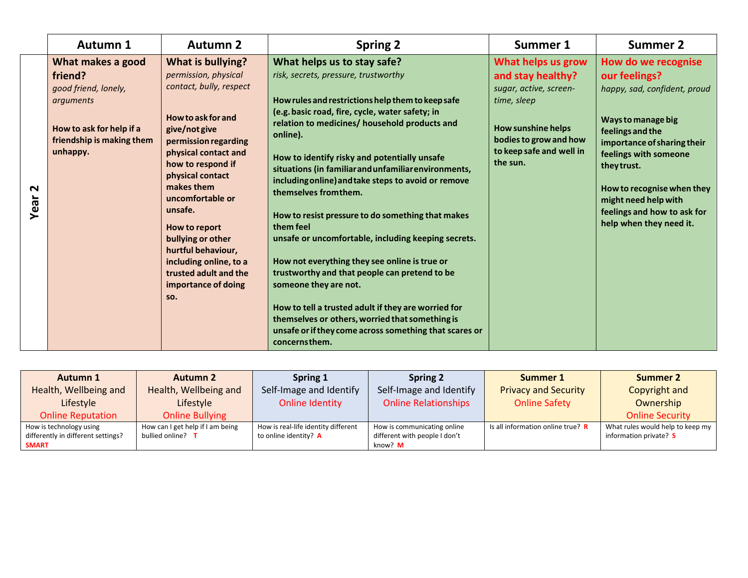|                     | <b>Autumn 1</b>                                                                                                                        | <b>Autumn 2</b>                                                                                                                                                                                                                                                                                                                                                                                | <b>Spring 2</b>                                                                                                                                                                                                                                                                                                                                                                                                                                                                                                                                                                                                                                                                                                                                                                                                                                                           | Summer 1                                                                                                                                                                        | <b>Summer 2</b>                                                                                                                                                                                                                                                                                       |
|---------------------|----------------------------------------------------------------------------------------------------------------------------------------|------------------------------------------------------------------------------------------------------------------------------------------------------------------------------------------------------------------------------------------------------------------------------------------------------------------------------------------------------------------------------------------------|---------------------------------------------------------------------------------------------------------------------------------------------------------------------------------------------------------------------------------------------------------------------------------------------------------------------------------------------------------------------------------------------------------------------------------------------------------------------------------------------------------------------------------------------------------------------------------------------------------------------------------------------------------------------------------------------------------------------------------------------------------------------------------------------------------------------------------------------------------------------------|---------------------------------------------------------------------------------------------------------------------------------------------------------------------------------|-------------------------------------------------------------------------------------------------------------------------------------------------------------------------------------------------------------------------------------------------------------------------------------------------------|
| $\sim$<br>┶<br>Year | What makes a good<br>friend?<br>good friend, lonely,<br>arguments<br>How to ask for help if a<br>friendship is making them<br>unhappy. | What is bullying?<br>permission, physical<br>contact, bully, respect<br>How to ask for and<br>give/not give<br>permission regarding<br>physical contact and<br>how to respond if<br>physical contact<br>makes them<br>uncomfortable or<br>unsafe.<br>How to report<br>bullying or other<br>hurtful behaviour,<br>including online, to a<br>trusted adult and the<br>importance of doing<br>SO. | What helps us to stay safe?<br>risk, secrets, pressure, trustworthy<br>How rules and restrictions help them to keep safe<br>(e.g. basic road, fire, cycle, water safety; in<br>relation to medicines/ household products and<br>online).<br>How to identify risky and potentially unsafe<br>situations (in familiar and unfamiliar environments,<br>including online) and take steps to avoid or remove<br>themselves from them.<br>How to resist pressure to do something that makes<br>them feel<br>unsafe or uncomfortable, including keeping secrets.<br>How not everything they see online is true or<br>trustworthy and that people can pretend to be<br>someone they are not.<br>How to tell a trusted adult if they are worried for<br>themselves or others, worried that something is<br>unsafe or if they come across something that scares or<br>concernsthem. | What helps us grow<br>and stay healthy?<br>sugar, active, screen-<br>time, sleep<br><b>How sunshine helps</b><br>bodies to grow and how<br>to keep safe and well in<br>the sun. | How do we recognise<br>our feelings?<br>happy, sad, confident, proud<br>Ways to manage big<br>feelings and the<br>importance of sharing their<br>feelings with someone<br>they trust.<br>How to recognise when they<br>might need help with<br>feelings and how to ask for<br>help when they need it. |

| Autumn 1                           | <b>Autumn 2</b>                  | Spring 1                            | <b>Spring 2</b>               | Summer 1                          | Summer 2                         |
|------------------------------------|----------------------------------|-------------------------------------|-------------------------------|-----------------------------------|----------------------------------|
| Health, Wellbeing and              | Health, Wellbeing and            | Self-Image and Identify             | Self-Image and Identify       | <b>Privacy and Security</b>       | Copyright and                    |
| Lifestyle                          | Lifestyle                        | Online Identity                     | <b>Online Relationships</b>   | <b>Online Safety</b>              | Ownership                        |
| <b>Online Reputation</b>           | <b>Online Bullying</b>           |                                     |                               |                                   | <b>Online Security</b>           |
| How is technology using            | How can I get help if I am being | How is real-life identity different | How is communicating online   | Is all information online true? R | What rules would help to keep my |
| differently in different settings? | bullied online? T                | to online identity? A               | different with people I don't |                                   | information private? S           |
| <b>SMART</b>                       |                                  |                                     | know? <b>M</b>                |                                   |                                  |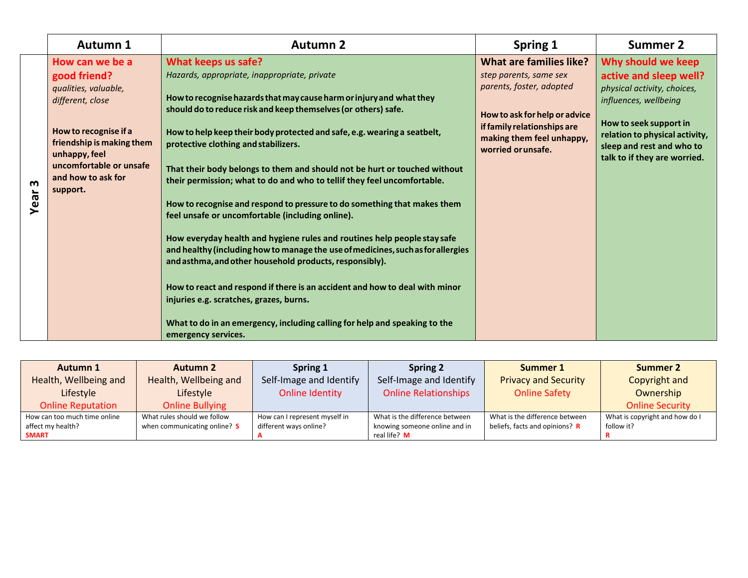|           | Autumn 1                                                                                                                                                                                                        | <b>Autumn 2</b>                                                                                                                                                                                                                                                                                                                                                                                                                                                                                                                                                                                                                                                                                                                                                                                                                                                                                                                                                                                                                                                                     | Spring 1                                                                                                                                                                                         | <b>Summer 2</b>                                                                                                                                                                                                               |
|-----------|-----------------------------------------------------------------------------------------------------------------------------------------------------------------------------------------------------------------|-------------------------------------------------------------------------------------------------------------------------------------------------------------------------------------------------------------------------------------------------------------------------------------------------------------------------------------------------------------------------------------------------------------------------------------------------------------------------------------------------------------------------------------------------------------------------------------------------------------------------------------------------------------------------------------------------------------------------------------------------------------------------------------------------------------------------------------------------------------------------------------------------------------------------------------------------------------------------------------------------------------------------------------------------------------------------------------|--------------------------------------------------------------------------------------------------------------------------------------------------------------------------------------------------|-------------------------------------------------------------------------------------------------------------------------------------------------------------------------------------------------------------------------------|
| m<br>Year | How can we be a<br>good friend?<br>qualities, valuable,<br>different, close<br>How to recognise if a<br>friendship is making them<br>unhappy, feel<br>uncomfortable or unsafe<br>and how to ask for<br>support. | What keeps us safe?<br>Hazards, appropriate, inappropriate, private<br>How to recognise hazards that may cause harm or injury and what they<br>should do to reduce risk and keep themselves (or others) safe.<br>How to help keep their body protected and safe, e.g. wearing a seatbelt,<br>protective clothing and stabilizers.<br>That their body belongs to them and should not be hurt or touched without<br>their permission; what to do and who to tellif they feel uncomfortable.<br>How to recognise and respond to pressure to do something that makes them<br>feel unsafe or uncomfortable (including online).<br>How everyday health and hygiene rules and routines help people stay safe<br>and healthy (including how to manage the use of medicines, such as for allergies<br>and asthma, and other household products, responsibly).<br>How to react and respond if there is an accident and how to deal with minor<br>injuries e.g. scratches, grazes, burns.<br>What to do in an emergency, including calling for help and speaking to the<br>emergency services. | What are families like?<br>step parents, same sex<br>parents, foster, adopted<br>How to ask for help or advice<br>if family relationships are<br>making them feel unhappy,<br>worried or unsafe. | Why should we keep<br>active and sleep well?<br>physical activity, choices,<br>influences, wellbeing<br>How to seek support in<br>relation to physical activity,<br>sleep and rest and who to<br>talk to if they are worried. |

| Autumn 1                     | <b>Autumn 2</b>              | Spring 1                      | <b>Spring 2</b>                | Summer 1                       | Summer 2                       |
|------------------------------|------------------------------|-------------------------------|--------------------------------|--------------------------------|--------------------------------|
| Health, Wellbeing and        | Health, Wellbeing and        | Self-Image and Identify       | Self-Image and Identify        | <b>Privacy and Security</b>    | Copyright and                  |
| Lifestyle                    | Lifestyle                    | Online Identity               | <b>Online Relationships</b>    | <b>Online Safety</b>           | Ownership                      |
| <b>Online Reputation</b>     | <b>Online Bullying</b>       |                               |                                |                                | <b>Online Security</b>         |
| How can too much time online | What rules should we follow  | How can I represent myself in | What is the difference between | What is the difference between | What is copyright and how do I |
| affect my health?            | when communicating online? S | different ways online?        | knowing someone online and in  | beliefs, facts and opinions? R | follow it?                     |
| <b>SMART</b>                 |                              |                               | real life? M                   |                                |                                |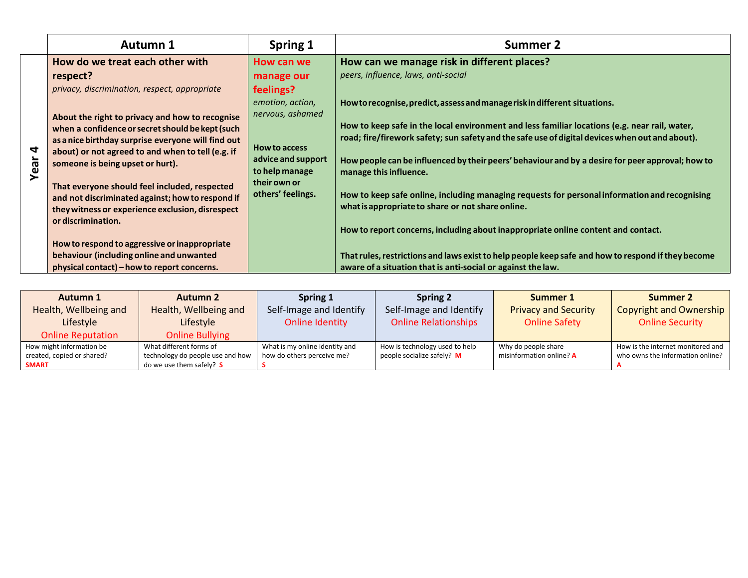|      | Autumn 1                                                                                             | Spring 1                             | Summer 2                                                                                           |
|------|------------------------------------------------------------------------------------------------------|--------------------------------------|----------------------------------------------------------------------------------------------------|
|      | How do we treat each other with                                                                      | How can we                           | How can we manage risk in different places?                                                        |
|      | respect?                                                                                             | manage our                           | peers, influence, laws, anti-social                                                                |
|      | privacy, discrimination, respect, appropriate                                                        | feelings?                            |                                                                                                    |
|      |                                                                                                      | emotion, action,                     | How to recognise, predict, assess and manage risk in different situations.                         |
|      | About the right to privacy and how to recognise                                                      | nervous, ashamed                     |                                                                                                    |
|      | when a confidence or secret should be kept (such                                                     |                                      | How to keep safe in the local environment and less familiar locations (e.g. near rail, water,      |
|      | as a nice birthday surprise everyone will find out                                                   |                                      | road; fire/firework safety; sun safety and the safe use of digital devices when out and about).    |
| 4    | about) or not agreed to and when to tell (e.g. if                                                    | How to access                        |                                                                                                    |
| Year | someone is being upset or hurt).                                                                     | advice and support<br>to help manage | How people can be influenced by their peers' behaviour and by a desire for peer approval; how to   |
|      |                                                                                                      | their own or                         | manage this influence.                                                                             |
|      | That everyone should feel included, respected                                                        | others' feelings.                    | How to keep safe online, including managing requests for personal information and recognising      |
|      | and not discriminated against; how to respond if<br>they witness or experience exclusion, disrespect |                                      | what is appropriate to share or not share online.                                                  |
|      | or discrimination.                                                                                   |                                      |                                                                                                    |
|      |                                                                                                      |                                      | How to report concerns, including about inappropriate online content and contact.                  |
|      | How to respond to aggressive or inappropriate                                                        |                                      |                                                                                                    |
|      | behaviour (including online and unwanted                                                             |                                      | That rules, restrictions and laws exist to help people keep safe and how to respond if they become |
|      | physical contact) – how to report concerns.                                                          |                                      | aware of a situation that is anti-social or against the law.                                       |

| Autumn 1                   | <b>Autumn 2</b>                  | Spring 1                       | <b>Spring 2</b>                | Summer 1                    | <b>Summer 2</b>                   |
|----------------------------|----------------------------------|--------------------------------|--------------------------------|-----------------------------|-----------------------------------|
| Health, Wellbeing and      | Health, Wellbeing and            | Self-Image and Identify        | Self-Image and Identify        | <b>Privacy and Security</b> | <b>Copyright and Ownership</b>    |
| Lifestyle                  | Lifestyle                        | Online Identity                | <b>Online Relationships</b>    | <b>Online Safety</b>        | <b>Online Security</b>            |
| <b>Online Reputation</b>   | <b>Online Bullying</b>           |                                |                                |                             |                                   |
| How might information be   | What different forms of          | What is my online identity and | How is technology used to help | Why do people share         | How is the internet monitored and |
| created, copied or shared? | technology do people use and how | how do others perceive me?     | people socialize safely? M     | misinformation online? A    | who owns the information online?  |
| <b>SMART</b>               | do we use them safely? S         |                                |                                |                             |                                   |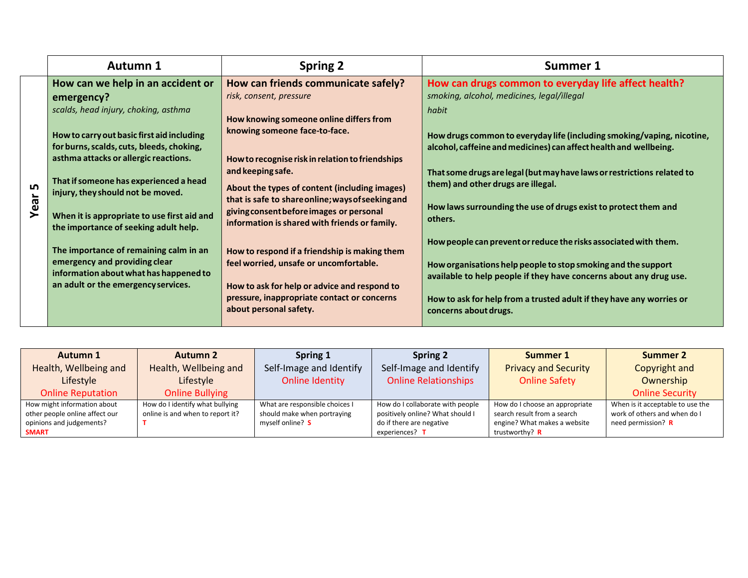|            | <b>Autumn 1</b>                                                                                                                                                                                                                                                                                                                                                                                                                                                                                                                                                | <b>Spring 2</b>                                                                                                                                                                                                                                                                                                                                                                                                                                                                                                                                                                                                                            | Summer 1                                                                                                                                                                                                                                                                                                                                                                                                                                                                                                                                                                                                                                                                                                                                                              |
|------------|----------------------------------------------------------------------------------------------------------------------------------------------------------------------------------------------------------------------------------------------------------------------------------------------------------------------------------------------------------------------------------------------------------------------------------------------------------------------------------------------------------------------------------------------------------------|--------------------------------------------------------------------------------------------------------------------------------------------------------------------------------------------------------------------------------------------------------------------------------------------------------------------------------------------------------------------------------------------------------------------------------------------------------------------------------------------------------------------------------------------------------------------------------------------------------------------------------------------|-----------------------------------------------------------------------------------------------------------------------------------------------------------------------------------------------------------------------------------------------------------------------------------------------------------------------------------------------------------------------------------------------------------------------------------------------------------------------------------------------------------------------------------------------------------------------------------------------------------------------------------------------------------------------------------------------------------------------------------------------------------------------|
| Lŋ<br>Year | How can we help in an accident or<br>emergency?<br>scalds, head injury, choking, asthma<br>How to carry out basic first aid including<br>for burns, scalds, cuts, bleeds, choking,<br>asthma attacks or allergic reactions.<br>That if someone has experienced a head<br>injury, they should not be moved.<br>When it is appropriate to use first aid and<br>the importance of seeking adult help.<br>The importance of remaining calm in an<br>emergency and providing clear<br>information about what has happened to<br>an adult or the emergency services. | How can friends communicate safely?<br>risk, consent, pressure<br>How knowing someone online differs from<br>knowing someone face-to-face.<br>How to recognise risk in relation to friendships<br>and keeping safe.<br>About the types of content (including images)<br>that is safe to share online; ways of seeking and<br>giving consent before images or personal<br>information is shared with friends or family.<br>How to respond if a friendship is making them<br>feel worried, unsafe or uncomfortable.<br>How to ask for help or advice and respond to<br>pressure, inappropriate contact or concerns<br>about personal safety. | How can drugs common to everyday life affect health?<br>smoking, alcohol, medicines, legal/illegal<br>habit<br>How drugs common to everyday life (including smoking/vaping, nicotine,<br>alcohol, caffeine and medicines) can affect health and wellbeing.<br>That some drugs are legal (but may have laws or restrictions related to<br>them) and other drugs are illegal.<br>How laws surrounding the use of drugs exist to protect them and<br>others.<br>How people can prevent or reduce the risks associated with them.<br>How organisations help people to stop smoking and the support<br>available to help people if they have concerns about any drug use.<br>How to ask for help from a trusted adult if they have any worries or<br>concerns about drugs. |

| Autumn 1                       | <b>Autumn 2</b>                  | Spring 1                       | Spring 2                         | Summer 1                       | Summer 2                         |
|--------------------------------|----------------------------------|--------------------------------|----------------------------------|--------------------------------|----------------------------------|
| Health, Wellbeing and          | Health, Wellbeing and            | Self-Image and Identify        | Self-Image and Identify          | <b>Privacy and Security</b>    | Copyright and                    |
| Lifestyle                      | Lifestyle                        | Online Identity                | <b>Online Relationships</b>      | <b>Online Safety</b>           | Ownership                        |
| <b>Online Reputation</b>       | <b>Online Bullying</b>           |                                |                                  |                                | <b>Online Security</b>           |
| How might information about    | How do I identify what bullying  | What are responsible choices I | How do I collaborate with people | How do I choose an appropriate | When is it acceptable to use the |
| other people online affect our | online is and when to report it? | should make when portraying    | positively online? What should I | search result from a search    | work of others and when do I     |
| opinions and judgements?       |                                  | myself online? S               | do if there are negative         | engine? What makes a website   | need permission? R               |
| <b>SMART</b>                   |                                  |                                | experiences? T                   | trustworthy? R                 |                                  |